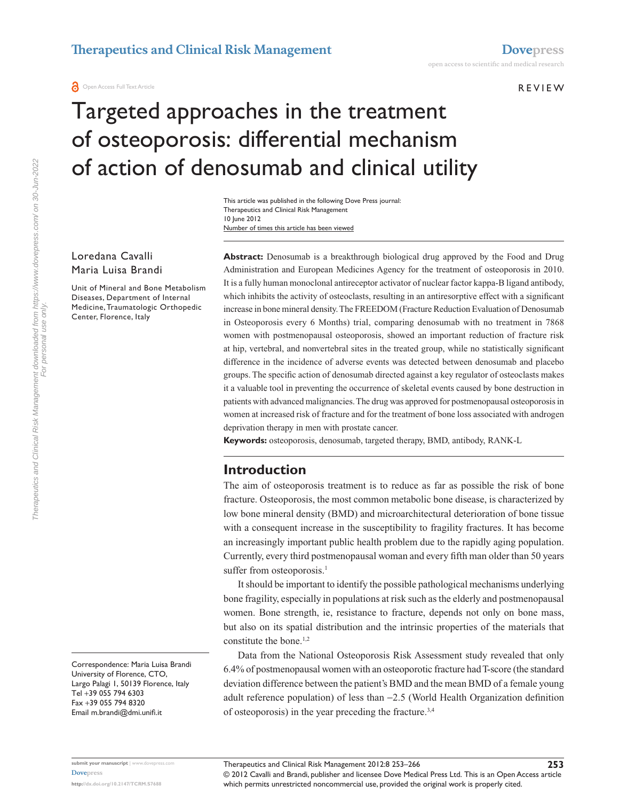**O** Open Access Full Text Article

## R e v ie w

**253**

# Targeted approaches in the treatment of osteoporosis: differential mechanism of action of denosumab and clinical utility

Number of times this article has been viewed This article was published in the following Dove Press journal: Therapeutics and Clinical Risk Management 10 June 2012

Loredana Cavalli Maria Luisa Brandi

Unit of Mineral and Bone Metabolism Diseases, Department of Internal Medicine, Traumatologic Orthopedic Center, Florence, Italy

**Abstract:** Denosumab is a breakthrough biological drug approved by the Food and Drug Administration and European Medicines Agency for the treatment of osteoporosis in 2010. It is a fully human monoclonal antireceptor activator of nuclear factor kappa-B ligand antibody, which inhibits the activity of osteoclasts, resulting in an antiresorptive effect with a significant increase in bone mineral density. The FREEDOM (Fracture Reduction Evaluation of Denosumab in Osteoporosis every 6 Months) trial, comparing denosumab with no treatment in 7868 women with postmenopausal osteoporosis, showed an important reduction of fracture risk at hip, vertebral, and nonvertebral sites in the treated group, while no statistically significant difference in the incidence of adverse events was detected between denosumab and placebo groups. The specific action of denosumab directed against a key regulator of osteoclasts makes it a valuable tool in preventing the occurrence of skeletal events caused by bone destruction in patients with advanced malignancies. The drug was approved for postmenopausal osteoporosis in women at increased risk of fracture and for the treatment of bone loss associated with androgen deprivation therapy in men with prostate cancer.

**Keywords:** osteoporosis, denosumab, targeted therapy, BMD, antibody, RANK-L

# **Introduction**

The aim of osteoporosis treatment is to reduce as far as possible the risk of bone fracture. Osteoporosis, the most common metabolic bone disease, is characterized by low bone mineral density (BMD) and microarchitectural deterioration of bone tissue with a consequent increase in the susceptibility to fragility fractures. It has become an increasingly important public health problem due to the rapidly aging population. Currently, every third postmenopausal woman and every fifth man older than 50 years suffer from osteoporosis.<sup>1</sup>

It should be important to identify the possible pathological mechanisms underlying bone fragility, especially in populations at risk such as the elderly and postmenopausal women. Bone strength, ie, resistance to fracture, depends not only on bone mass, but also on its spatial distribution and the intrinsic properties of the materials that constitute the bone.<sup>1,2</sup>

Data from the National Osteoporosis Risk Assessment study revealed that only 6.4% of postmenopausal women with an osteoporotic fracture had T-score (the standard deviation difference between the patient's BMD and the mean BMD of a female young adult reference population) of less than −2.5 (World Health Organization definition of osteoporosis) in the year preceding the fracture.3,4

Correspondence: Maria Luisa Brandi University of Florence, CTO, Largo Palagi 1, 50139 Florence, Italy Tel +39 055 794 6303 Fax +39 055 794 8320 Email [m.brandi@dmi.unifi.i](mailto:m.brandi@dmi.unifi.it)t

**submit your manuscript** | <www.dovepress.com> **<http://dx.doi.org/10.2147/TCRM.S7688>**

**[Dovepress](www.dovepress.com)**

© 2012 Cavalli and Brandi, publisher and licensee Dove Medical Press Ltd. This is an Open Access article which permits unrestricted noncommercial use, provided the original work is properly cited.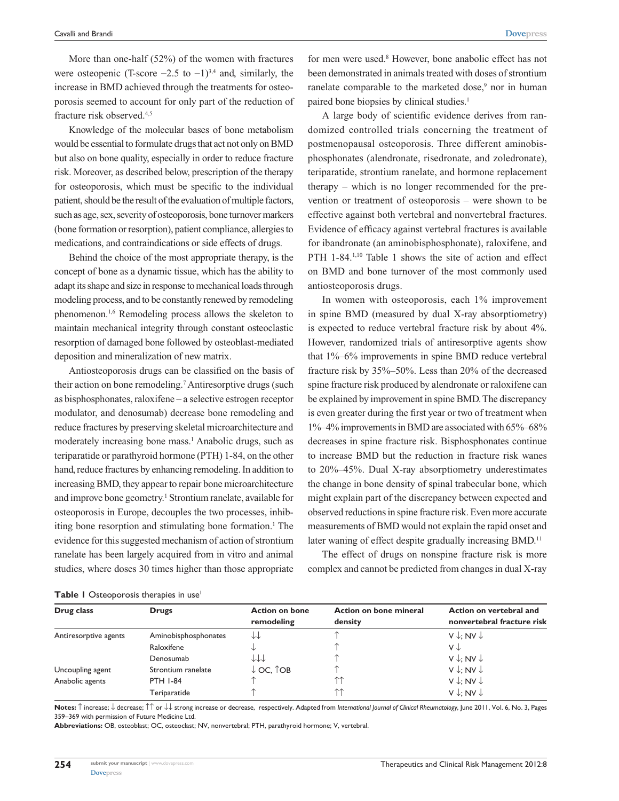More than one-half (52%) of the women with fractures were osteopenic (T-score  $-2.5$  to  $-1$ )<sup>3,4</sup> and, similarly, the increase in BMD achieved through the treatments for osteoporosis seemed to account for only part of the reduction of fracture risk observed.4,5

Knowledge of the molecular bases of bone metabolism would be essential to formulate drugs that act not only on BMD but also on bone quality, especially in order to reduce fracture risk. Moreover, as described below, prescription of the therapy for osteoporosis, which must be specific to the individual patient, should be the result of the evaluation of multiple factors, such as age, sex, severity of osteoporosis, bone turnover markers (bone formation or resorption), patient compliance, allergies to medications, and contraindications or side effects of drugs.

Behind the choice of the most appropriate therapy, is the concept of bone as a dynamic tissue, which has the ability to adapt its shape and size in response to mechanical loads through modeling process, and to be constantly renewed by remodeling phenomenon.1,6 Remodeling process allows the skeleton to maintain mechanical integrity through constant osteoclastic resorption of damaged bone followed by osteoblast-mediated deposition and mineralization of new matrix.

Antiosteoporosis drugs can be classified on the basis of their action on bone remodeling.<sup>7</sup> Antiresorptive drugs (such as bisphosphonates, raloxifene – a selective estrogen receptor modulator, and denosumab) decrease bone remodeling and reduce fractures by preserving skeletal microarchitecture and moderately increasing bone mass.<sup>1</sup> Anabolic drugs, such as teriparatide or parathyroid hormone (PTH) 1-84, on the other hand, reduce fractures by enhancing remodeling. In addition to increasing BMD, they appear to repair bone microarchitecture and improve bone geometry.<sup>1</sup> Strontium ranelate, available for osteoporosis in Europe, decouples the two processes, inhibiting bone resorption and stimulating bone formation.<sup>1</sup> The evidence for this suggested mechanism of action of strontium ranelate has been largely acquired from in vitro and animal studies, where doses 30 times higher than those appropriate

for men were used.<sup>8</sup> However, bone anabolic effect has not been demonstrated in animals treated with doses of strontium ranelate comparable to the marketed dose,<sup>9</sup> nor in human paired bone biopsies by clinical studies.<sup>1</sup>

A large body of scientific evidence derives from randomized controlled trials concerning the treatment of postmenopausal osteoporosis. Three different aminobisphosphonates (alendronate, risedronate, and zoledronate), teriparatide, strontium ranelate, and hormone replacement therapy – which is no longer recommended for the prevention or treatment of osteoporosis – were shown to be effective against both vertebral and nonvertebral fractures. Evidence of efficacy against vertebral fractures is available for ibandronate (an aminobisphosphonate), raloxifene, and PTH 1-84.<sup>1,10</sup> Table 1 shows the site of action and effect on BMD and bone turnover of the most commonly used antiosteoporosis drugs.

In women with osteoporosis, each 1% improvement in spine BMD (measured by dual X-ray absorptiometry) is expected to reduce vertebral fracture risk by about 4%. However, randomized trials of antiresorptive agents show that 1%–6% improvements in spine BMD reduce vertebral fracture risk by 35%–50%. Less than 20% of the decreased spine fracture risk produced by alendronate or raloxifene can be explained by improvement in spine BMD. The discrepancy is even greater during the first year or two of treatment when 1%–4% improvements in BMD are associated with 65%–68% decreases in spine fracture risk. Bisphosphonates continue to increase BMD but the reduction in fracture risk wanes to 20%–45%. Dual X-ray absorptiometry underestimates the change in bone density of spinal trabecular bone, which might explain part of the discrepancy between expected and observed reductions in spine fracture risk. Even more accurate measurements of BMD would not explain the rapid onset and later waning of effect despite gradually increasing BMD.<sup>11</sup>

The effect of drugs on nonspine fracture risk is more complex and cannot be predicted from changes in dual X-ray

| Table I Osteoporosis therapies in use <sup>1</sup> |  |  |  |  |  |  |
|----------------------------------------------------|--|--|--|--|--|--|
|----------------------------------------------------|--|--|--|--|--|--|

| Drug class            | <b>Drugs</b>         | <b>Action on bone</b><br>remodeling | Action on bone mineral<br>density | Action on vertebral and<br>nonvertebral fracture risk |
|-----------------------|----------------------|-------------------------------------|-----------------------------------|-------------------------------------------------------|
| Antiresorptive agents | Aminobisphosphonates | JJ                                  |                                   | $V \downarrow: NV \downarrow$                         |
|                       | Raloxifene           |                                     |                                   | V↓                                                    |
|                       | Denosumab            | 111                                 |                                   | $V \downarrow: NV \downarrow$                         |
| Uncoupling agent      | Strontium ranelate   | $\downarrow$ OC, $\uparrow$ OB      |                                   | $V \downarrow: NV \downarrow$                         |
| Anabolic agents       | <b>PTH 1-84</b>      |                                     | 个个                                | $V \downarrow: NV \downarrow$                         |
|                       | Teriparatide         |                                     | $\wedge\wedge$                    | $V \downarrow: NV \downarrow$                         |

**Notes:** ↑ increase; ↓ decrease; ↑↑ or ↓↓ strong increase or decrease, respectively. Adapted from *International Journal of Clinical Rheumatology*, June 2011, Vol. 6, No. 3, Pages 359–369 with permission of Future Medicine Ltd.

**Abbreviations:** OB, osteoblast; OC, osteoclast; NV, nonvertebral; PTH, parathyroid hormone; V, vertebral.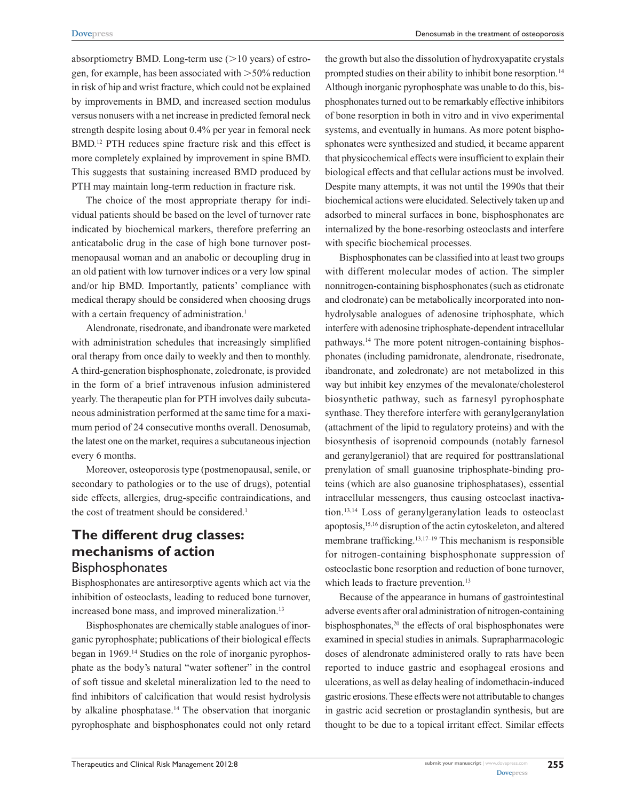Denosumab in the treatment of osteoporosis

absorptiometry BMD. Long-term use  $(>10$  years) of estrogen, for example, has been associated with  $>50\%$  reduction in risk of hip and wrist fracture, which could not be explained by improvements in BMD, and increased section modulus versus nonusers with a net increase in predicted femoral neck strength despite losing about 0.4% per year in femoral neck BMD.12 PTH reduces spine fracture risk and this effect is more completely explained by improvement in spine BMD. This suggests that sustaining increased BMD produced by PTH may maintain long-term reduction in fracture risk.

The choice of the most appropriate therapy for individual patients should be based on the level of turnover rate indicated by biochemical markers, therefore preferring an anticatabolic drug in the case of high bone turnover postmenopausal woman and an anabolic or decoupling drug in an old patient with low turnover indices or a very low spinal and/or hip BMD. Importantly, patients' compliance with medical therapy should be considered when choosing drugs with a certain frequency of administration.<sup>1</sup>

Alendronate, risedronate, and ibandronate were marketed with administration schedules that increasingly simplified oral therapy from once daily to weekly and then to monthly. A third-generation bisphosphonate, zoledronate, is provided in the form of a brief intravenous infusion administered yearly. The therapeutic plan for PTH involves daily subcutaneous administration performed at the same time for a maximum period of 24 consecutive months overall. Denosumab, the latest one on the market, requires a subcutaneous injection every 6 months.

Moreover, osteoporosis type (postmenopausal, senile, or secondary to pathologies or to the use of drugs), potential side effects, allergies, drug-specific contraindications, and the cost of treatment should be considered.<sup>1</sup>

# **The different drug classes: mechanisms of action Bisphosphonates**

Bisphosphonates are antiresorptive agents which act via the inhibition of osteoclasts, leading to reduced bone turnover, increased bone mass, and improved mineralization.<sup>13</sup>

Bisphosphonates are chemically stable analogues of inorganic pyrophosphate; publications of their biological effects began in 1969.14 Studies on the role of inorganic pyrophosphate as the body's natural "water softener" in the control of soft tissue and skeletal mineralization led to the need to find inhibitors of calcification that would resist hydrolysis by alkaline phosphatase.14 The observation that inorganic pyrophosphate and bisphosphonates could not only retard the growth but also the dissolution of hydroxyapatite crystals prompted studies on their ability to inhibit bone resorption.<sup>14</sup> Although inorganic pyrophosphate was unable to do this, bisphosphonates turned out to be remarkably effective inhibitors of bone resorption in both in vitro and in vivo experimental systems, and eventually in humans. As more potent bisphosphonates were synthesized and studied, it became apparent that physicochemical effects were insufficient to explain their biological effects and that cellular actions must be involved. Despite many attempts, it was not until the 1990s that their biochemical actions were elucidated. Selectively taken up and adsorbed to mineral surfaces in bone, bisphosphonates are internalized by the bone-resorbing osteoclasts and interfere with specific biochemical processes.

Bisphosphonates can be classified into at least two groups with different molecular modes of action. The simpler nonnitrogen-containing bisphosphonates(such as etidronate and clodronate) can be metabolically incorporated into nonhydrolysable analogues of adenosine triphosphate, which interfere with adenosine triphosphate-dependent intracellular pathways.14 The more potent nitrogen-containing bisphosphonates (including pamidronate, alendronate, risedronate, ibandronate, and zoledronate) are not metabolized in this way but inhibit key enzymes of the mevalonate/cholesterol biosynthetic pathway, such as farnesyl pyrophosphate synthase. They therefore interfere with geranylgeranylation (attachment of the lipid to regulatory proteins) and with the biosynthesis of isoprenoid compounds (notably farnesol and geranylgeraniol) that are required for posttranslational prenylation of small guanosine triphosphate-binding proteins (which are also guanosine triphosphatases), essential intracellular messengers, thus causing osteoclast inactivation.13,14 Loss of geranylgeranylation leads to osteoclast apoptosis,15,16 disruption of the actin cytoskeleton, and altered membrane trafficking.13,17–19 This mechanism is responsible for nitrogen-containing bisphosphonate suppression of osteoclastic bone resorption and reduction of bone turnover, which leads to fracture prevention.<sup>13</sup>

Because of the appearance in humans of gastrointestinal adverse events after oral administration of nitrogen-containing bisphosphonates,<sup>20</sup> the effects of oral bisphosphonates were examined in special studies in animals. Suprapharmacologic doses of alendronate administered orally to rats have been reported to induce gastric and esophageal erosions and ulcerations, as well as delay healing of indomethacin-induced gastric erosions. These effects were not attributable to changes in gastric acid secretion or prostaglandin synthesis, but are thought to be due to a topical irritant effect. Similar effects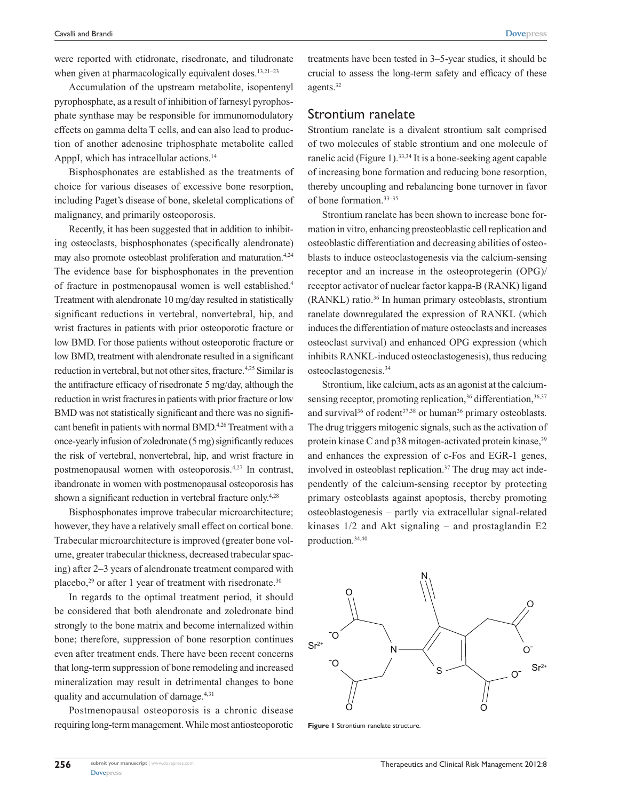**[Dovepress](www.dovepress.com)**

were reported with etidronate, risedronate, and tiludronate when given at pharmacologically equivalent doses.<sup>13,21-23</sup>

Accumulation of the upstream metabolite, isopentenyl pyrophosphate, as a result of inhibition of farnesyl pyrophosphate synthase may be responsible for immunomodulatory effects on gamma delta T cells, and can also lead to production of another adenosine triphosphate metabolite called ApppI, which has intracellular actions.<sup>14</sup>

Bisphosphonates are established as the treatments of choice for various diseases of excessive bone resorption, including Paget's disease of bone, skeletal complications of malignancy, and primarily osteoporosis.

Recently, it has been suggested that in addition to inhibiting osteoclasts, bisphosphonates (specifically alendronate) may also promote osteoblast proliferation and maturation.<sup>4,24</sup> The evidence base for bisphosphonates in the prevention of fracture in postmenopausal women is well established.4 Treatment with alendronate 10 mg/day resulted in statistically significant reductions in vertebral, nonvertebral, hip, and wrist fractures in patients with prior osteoporotic fracture or low BMD. For those patients without osteoporotic fracture or low BMD, treatment with alendronate resulted in a significant reduction in vertebral, but not other sites, fracture.<sup>4,25</sup> Similar is the antifracture efficacy of risedronate 5 mg/day, although the reduction in wrist fractures in patients with prior fracture or low BMD was not statistically significant and there was no significant benefit in patients with normal BMD.4,26 Treatment with a once-yearly infusion of zoledronate (5mg) significantly reduces the risk of vertebral, nonvertebral, hip, and wrist fracture in postmenopausal women with osteoporosis.4,27 In contrast, ibandronate in women with postmenopausal osteoporosis has shown a significant reduction in vertebral fracture only.<sup>4,28</sup>

Bisphosphonates improve trabecular microarchitecture; however, they have a relatively small effect on cortical bone. Trabecular microarchitecture is improved (greater bone volume, greater trabecular thickness, decreased trabecular spacing) after 2–3 years of alendronate treatment compared with placebo,<sup>29</sup> or after 1 year of treatment with risedronate.<sup>30</sup>

In regards to the optimal treatment period, it should be considered that both alendronate and zoledronate bind strongly to the bone matrix and become internalized within bone; therefore, suppression of bone resorption continues even after treatment ends. There have been recent concerns that long-term suppression of bone remodeling and increased mineralization may result in detrimental changes to bone quality and accumulation of damage.4,31

Postmenopausal osteoporosis is a chronic disease requiring long-term management. While most antiosteoporotic

treatments have been tested in 3–5-year studies, it should be crucial to assess the long-term safety and efficacy of these agents.32

# Strontium ranelate

Strontium ranelate is a divalent strontium salt comprised of two molecules of stable strontium and one molecule of ranelic acid (Figure 1).<sup>33,34</sup> It is a bone-seeking agent capable of increasing bone formation and reducing bone resorption, thereby uncoupling and rebalancing bone turnover in favor of bone formation.33–35

Strontium ranelate has been shown to increase bone formation in vitro, enhancing preosteoblastic cell replication and osteoblastic differentiation and decreasing abilities of osteoblasts to induce osteoclastogenesis via the calcium-sensing receptor and an increase in the osteoprotegerin (OPG)/ receptor activator of nuclear factor kappa-B (RANK) ligand (RANKL) ratio.36 In human primary osteoblasts, strontium ranelate downregulated the expression of RANKL (which induces the differentiation of mature osteoclasts and increases osteoclast survival) and enhanced OPG expression (which inhibits RANKL-induced osteoclastogenesis), thus reducing osteoclastogenesis.34

Strontium, like calcium, acts as an agonist at the calciumsensing receptor, promoting replication,<sup>36</sup> differentiation,<sup>36,37</sup> and survival $36$  of rodent $37,38$  or human $36$  primary osteoblasts. The drug triggers mitogenic signals, such as the activation of protein kinase C and p38 mitogen-activated protein kinase,<sup>39</sup> and enhances the expression of c-Fos and EGR-1 genes, involved in osteoblast replication.<sup>37</sup> The drug may act independently of the calcium-sensing receptor by protecting primary osteoblasts against apoptosis, thereby promoting osteoblastogenesis – partly via extracellular signal-related kinases 1/2 and Akt signaling – and prostaglandin E2 production.34,40



**Figure 1** Strontium ranelate structure.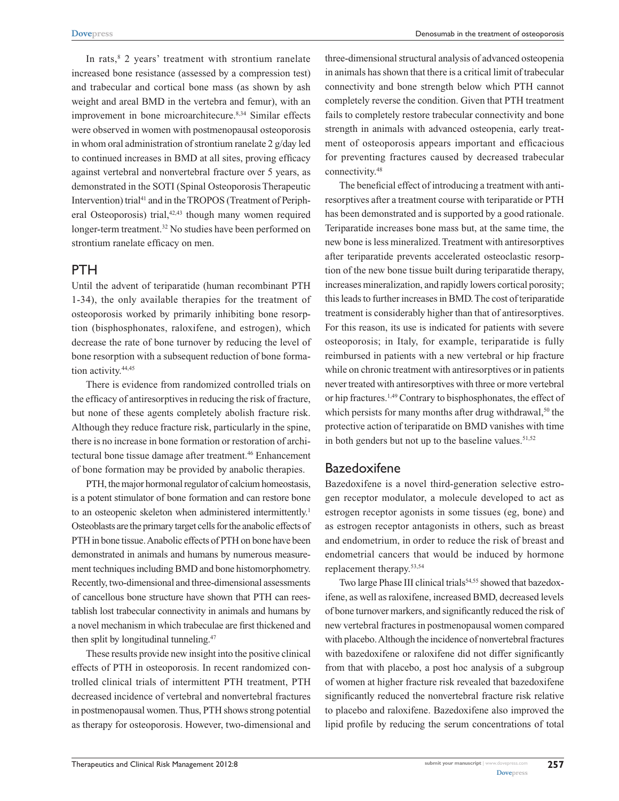In rats, $8$  2 years' treatment with strontium ranelate increased bone resistance (assessed by a compression test) and trabecular and cortical bone mass (as shown by ash weight and areal BMD in the vertebra and femur), with an improvement in bone microarchitecure.<sup>8,34</sup> Similar effects were observed in women with postmenopausal osteoporosis in whom oral administration of strontium ranelate 2 g/day led to continued increases in BMD at all sites, proving efficacy against vertebral and nonvertebral fracture over 5 years, as demonstrated in the SOTI (Spinal Osteoporosis Therapeutic Intervention) trial<sup>41</sup> and in the TROPOS (Treatment of Peripheral Osteoporosis) trial,<sup>42,43</sup> though many women required longer-term treatment.<sup>32</sup> No studies have been performed on strontium ranelate efficacy on men.

# PTH

Until the advent of teriparatide (human recombinant PTH 1-34), the only available therapies for the treatment of osteoporosis worked by primarily inhibiting bone resorption (bisphosphonates, raloxifene, and estrogen), which decrease the rate of bone turnover by reducing the level of bone resorption with a subsequent reduction of bone formation activity.<sup>44,45</sup>

There is evidence from randomized controlled trials on the efficacy of antiresorptives in reducing the risk of fracture, but none of these agents completely abolish fracture risk. Although they reduce fracture risk, particularly in the spine, there is no increase in bone formation or restoration of architectural bone tissue damage after treatment.<sup>46</sup> Enhancement of bone formation may be provided by anabolic therapies.

PTH, the major hormonal regulator of calcium homeostasis, is a potent stimulator of bone formation and can restore bone to an osteopenic skeleton when administered intermittently.<sup>1</sup> Osteoblasts are the primary target cells for the anabolic effects of PTH in bone tissue. Anabolic effects of PTH on bone have been demonstrated in animals and humans by numerous measurement techniques including BMD and bone histomorphometry. Recently, two-dimensional and three-dimensional assessments of cancellous bone structure have shown that PTH can reestablish lost trabecular connectivity in animals and humans by a novel mechanism in which trabeculae are first thickened and then split by longitudinal tunneling.<sup>47</sup>

These results provide new insight into the positive clinical effects of PTH in osteoporosis. In recent randomized controlled clinical trials of intermittent PTH treatment, PTH decreased incidence of vertebral and nonvertebral fractures in postmenopausal women. Thus, PTH shows strong potential as therapy for osteoporosis. However, two-dimensional and three-dimensional structural analysis of advanced osteopenia in animals has shown that there is a critical limit of trabecular connectivity and bone strength below which PTH cannot completely reverse the condition. Given that PTH treatment fails to completely restore trabecular connectivity and bone strength in animals with advanced osteopenia, early treatment of osteoporosis appears important and efficacious for preventing fractures caused by decreased trabecular connectivity.48

The beneficial effect of introducing a treatment with antiresorptives after a treatment course with teriparatide or PTH has been demonstrated and is supported by a good rationale. Teriparatide increases bone mass but, at the same time, the new bone is less mineralized. Treatment with antiresorptives after teriparatide prevents accelerated osteoclastic resorption of the new bone tissue built during teriparatide therapy, increases mineralization, and rapidly lowers cortical porosity; this leads to further increases in BMD. The cost of teriparatide treatment is considerably higher than that of antiresorptives. For this reason, its use is indicated for patients with severe osteoporosis; in Italy, for example, teriparatide is fully reimbursed in patients with a new vertebral or hip fracture while on chronic treatment with antiresorptives or in patients never treated with antiresorptives with three or more vertebral or hip fractures.1,49 Contrary to bisphosphonates, the effect of which persists for many months after drug withdrawal,<sup>50</sup> the protective action of teriparatide on BMD vanishes with time in both genders but not up to the baseline values. $51,52$ 

# **Bazedoxifene**

Bazedoxifene is a novel third-generation selective estrogen receptor modulator, a molecule developed to act as estrogen receptor agonists in some tissues (eg, bone) and as estrogen receptor antagonists in others, such as breast and endometrium, in order to reduce the risk of breast and endometrial cancers that would be induced by hormone replacement therapy.53,54

Two large Phase III clinical trials<sup>54,55</sup> showed that bazedoxifene, as well as raloxifene, increased BMD, decreased levels of bone turnover markers, and significantly reduced the risk of new vertebral fractures in postmenopausal women compared with placebo. Although the incidence of nonvertebral fractures with bazedoxifene or raloxifene did not differ significantly from that with placebo, a post hoc analysis of a subgroup of women at higher fracture risk revealed that bazedoxifene significantly reduced the nonvertebral fracture risk relative to placebo and raloxifene. Bazedoxifene also improved the lipid profile by reducing the serum concentrations of total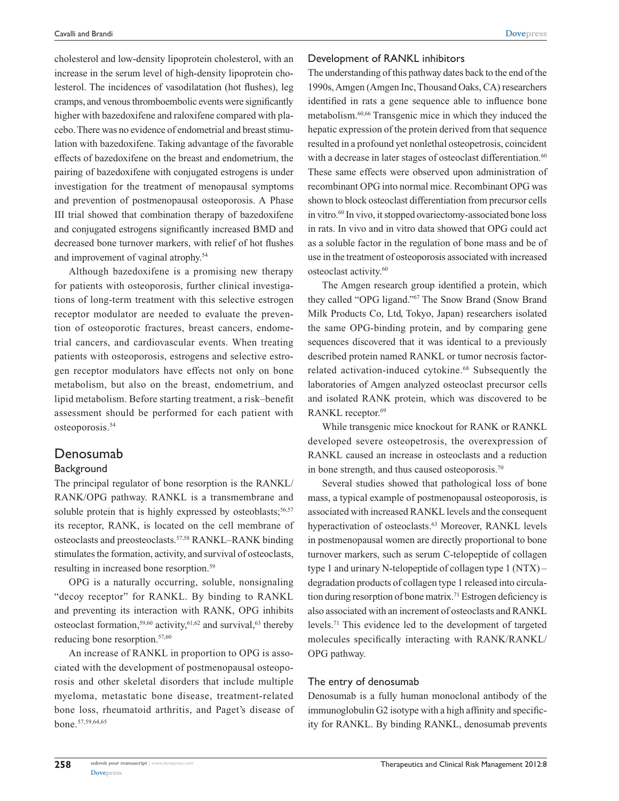cholesterol and low-density lipoprotein cholesterol, with an increase in the serum level of high-density lipoprotein cholesterol. The incidences of vasodilatation (hot flushes), leg cramps, and venous thromboembolic events were significantly higher with bazedoxifene and raloxifene compared with placebo. There was no evidence of endometrial and breast stimulation with bazedoxifene. Taking advantage of the favorable effects of bazedoxifene on the breast and endometrium, the pairing of bazedoxifene with conjugated estrogens is under investigation for the treatment of menopausal symptoms and prevention of postmenopausal osteoporosis. A Phase III trial showed that combination therapy of bazedoxifene and conjugated estrogens significantly increased BMD and decreased bone turnover markers, with relief of hot flushes and improvement of vaginal atrophy.54

Although bazedoxifene is a promising new therapy for patients with osteoporosis, further clinical investigations of long-term treatment with this selective estrogen receptor modulator are needed to evaluate the prevention of osteoporotic fractures, breast cancers, endometrial cancers, and cardiovascular events. When treating patients with osteoporosis, estrogens and selective estrogen receptor modulators have effects not only on bone metabolism, but also on the breast, endometrium, and lipid metabolism. Before starting treatment, a risk–benefit assessment should be performed for each patient with osteoporosis.54

## Denosumab

## **Background**

The principal regulator of bone resorption is the RANKL/ RANK/OPG pathway. RANKL is a transmembrane and soluble protein that is highly expressed by osteoblasts;<sup>56,57</sup> its receptor, RANK, is located on the cell membrane of osteoclasts and preosteoclasts.57,58 RANKL–RANK binding stimulates the formation, activity, and survival of osteoclasts, resulting in increased bone resorption.<sup>59</sup>

OPG is a naturally occurring, soluble, nonsignaling "decoy receptor" for RANKL. By binding to RANKL and preventing its interaction with RANK, OPG inhibits osteoclast formation,<sup>59,60</sup> activity, $61,62$  and survival, $63$  thereby reducing bone resorption.<sup>57,60</sup>

An increase of RANKL in proportion to OPG is associated with the development of postmenopausal osteoporosis and other skeletal disorders that include multiple myeloma, metastatic bone disease, treatment-related bone loss, rheumatoid arthritis, and Paget's disease of bone.57,59,64,65

#### Development of RANKL inhibitors

The understanding of this pathway dates back to the end of the 1990s, Amgen (Amgen Inc, Thousand Oaks, CA) researchers identified in rats a gene sequence able to influence bone metabolism.60,66 Transgenic mice in which they induced the hepatic expression of the protein derived from that sequence resulted in a profound yet nonlethal osteopetrosis, coincident with a decrease in later stages of osteoclast differentiation.<sup>60</sup> These same effects were observed upon administration of recombinant OPG into normal mice. Recombinant OPG was shown to block osteoclast differentiation from precursor cells in vitro.60 In vivo, it stopped ovariectomy-associated bone loss in rats. In vivo and in vitro data showed that OPG could act as a soluble factor in the regulation of bone mass and be of use in the treatment of osteoporosis associated with increased osteoclast activity.60

The Amgen research group identified a protein, which they called "OPG ligand."67 The Snow Brand (Snow Brand Milk Products Co, Ltd, Tokyo, Japan) researchers isolated the same OPG-binding protein, and by comparing gene sequences discovered that it was identical to a previously described protein named RANKL or tumor necrosis factorrelated activation-induced cytokine.68 Subsequently the laboratories of Amgen analyzed osteoclast precursor cells and isolated RANK protein, which was discovered to be RANKL receptor.<sup>69</sup>

While transgenic mice knockout for RANK or RANKL developed severe osteopetrosis, the overexpression of RANKL caused an increase in osteoclasts and a reduction in bone strength, and thus caused osteoporosis.<sup>70</sup>

Several studies showed that pathological loss of bone mass, a typical example of postmenopausal osteoporosis, is associated with increased RANKL levels and the consequent hyperactivation of osteoclasts.<sup>63</sup> Moreover, RANKL levels in postmenopausal women are directly proportional to bone turnover markers, such as serum C-telopeptide of collagen type 1 and urinary N-telopeptide of collagen type 1 (NTX) – degradation products of collagen type 1 released into circulation during resorption of bone matrix.71 Estrogen deficiency is also associated with an increment of osteoclasts and RANKL levels.71 This evidence led to the development of targeted molecules specifically interacting with RANK/RANKL/ OPG pathway.

### The entry of denosumab

Denosumab is a fully human monoclonal antibody of the immunoglobulin G2 isotype with a high affinity and specificity for RANKL. By binding RANKL, denosumab prevents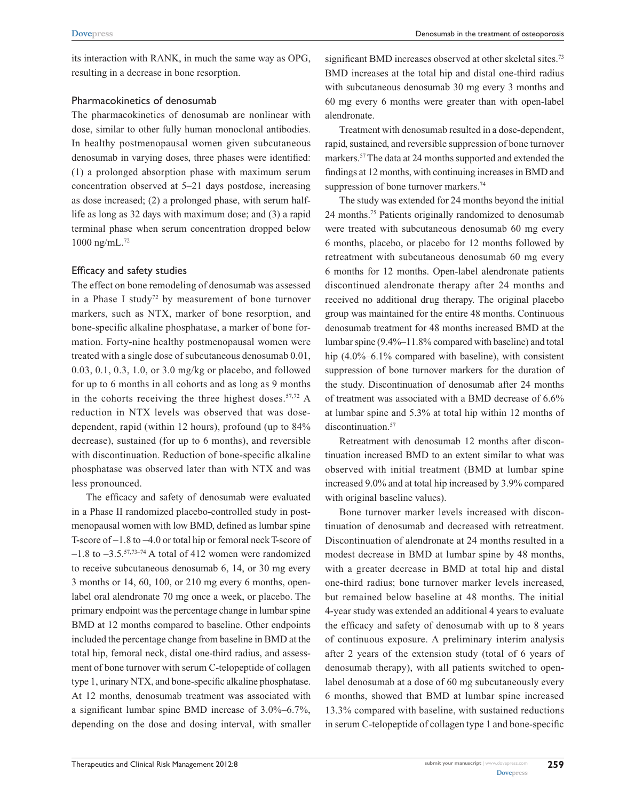its interaction with RANK, in much the same way as OPG, resulting in a decrease in bone resorption.

## Pharmacokinetics of denosumab

The pharmacokinetics of denosumab are nonlinear with dose, similar to other fully human monoclonal antibodies. In healthy postmenopausal women given subcutaneous denosumab in varying doses, three phases were identified: (1) a prolonged absorption phase with maximum serum concentration observed at 5–21 days postdose, increasing as dose increased; (2) a prolonged phase, with serum halflife as long as 32 days with maximum dose; and (3) a rapid terminal phase when serum concentration dropped below 1000 ng/mL.72

## Efficacy and safety studies

The effect on bone remodeling of denosumab was assessed in a Phase I study<sup>72</sup> by measurement of bone turnover markers, such as NTX, marker of bone resorption, and bone-specific alkaline phosphatase, a marker of bone formation. Forty-nine healthy postmenopausal women were treated with a single dose of subcutaneous denosumab 0.01, 0.03, 0.1, 0.3, 1.0, or 3.0 mg/kg or placebo, and followed for up to 6 months in all cohorts and as long as 9 months in the cohorts receiving the three highest doses. $57,72$  A reduction in NTX levels was observed that was dosedependent, rapid (within 12 hours), profound (up to 84% decrease), sustained (for up to 6 months), and reversible with discontinuation. Reduction of bone-specific alkaline phosphatase was observed later than with NTX and was less pronounced.

The efficacy and safety of denosumab were evaluated in a Phase II randomized placebo-controlled study in postmenopausal women with low BMD, defined as lumbar spine T-score of −1.8 to −4.0 or total hip or femoral neck T-score of −1.8 to −3.5.57,73–74 A total of 412 women were randomized to receive subcutaneous denosumab 6, 14, or 30 mg every 3 months or 14, 60, 100, or 210 mg every 6 months, openlabel oral alendronate 70 mg once a week, or placebo. The primary endpoint was the percentage change in lumbar spine BMD at 12 months compared to baseline. Other endpoints included the percentage change from baseline in BMD at the total hip, femoral neck, distal one-third radius, and assessment of bone turnover with serum C-telopeptide of collagen type 1, urinary NTX, and bone-specific alkaline phosphatase. At 12 months, denosumab treatment was associated with a significant lumbar spine BMD increase of 3.0%–6.7%, depending on the dose and dosing interval, with smaller

significant BMD increases observed at other skeletal sites.<sup>73</sup> BMD increases at the total hip and distal one-third radius with subcutaneous denosumab 30 mg every 3 months and 60 mg every 6 months were greater than with open-label alendronate.

Treatment with denosumab resulted in a dose-dependent, rapid, sustained, and reversible suppression of bone turnover markers.57 The data at 24 months supported and extended the findings at 12 months, with continuing increases in BMD and suppression of bone turnover markers.<sup>74</sup>

The study was extended for 24 months beyond the initial 24 months.75 Patients originally randomized to denosumab were treated with subcutaneous denosumab 60 mg every 6 months, placebo, or placebo for 12 months followed by retreatment with subcutaneous denosumab 60 mg every 6 months for 12 months. Open-label alendronate patients discontinued alendronate therapy after 24 months and received no additional drug therapy. The original placebo group was maintained for the entire 48 months. Continuous denosumab treatment for 48 months increased BMD at the lumbar spine (9.4%–11.8% compared with baseline) and total hip (4.0%–6.1% compared with baseline), with consistent suppression of bone turnover markers for the duration of the study. Discontinuation of denosumab after 24 months of treatment was associated with a BMD decrease of 6.6% at lumbar spine and 5.3% at total hip within 12 months of discontinuation.<sup>57</sup>

Retreatment with denosumab 12 months after discontinuation increased BMD to an extent similar to what was observed with initial treatment (BMD at lumbar spine increased 9.0% and at total hip increased by 3.9% compared with original baseline values).

Bone turnover marker levels increased with discontinuation of denosumab and decreased with retreatment. Discontinuation of alendronate at 24 months resulted in a modest decrease in BMD at lumbar spine by 48 months, with a greater decrease in BMD at total hip and distal one-third radius; bone turnover marker levels increased, but remained below baseline at 48 months. The initial 4-year study was extended an additional 4 years to evaluate the efficacy and safety of denosumab with up to 8 years of continuous exposure. A preliminary interim analysis after 2 years of the extension study (total of 6 years of denosumab therapy), with all patients switched to openlabel denosumab at a dose of 60 mg subcutaneously every 6 months, showed that BMD at lumbar spine increased 13.3% compared with baseline, with sustained reductions in serum C-telopeptide of collagen type 1 and bone-specific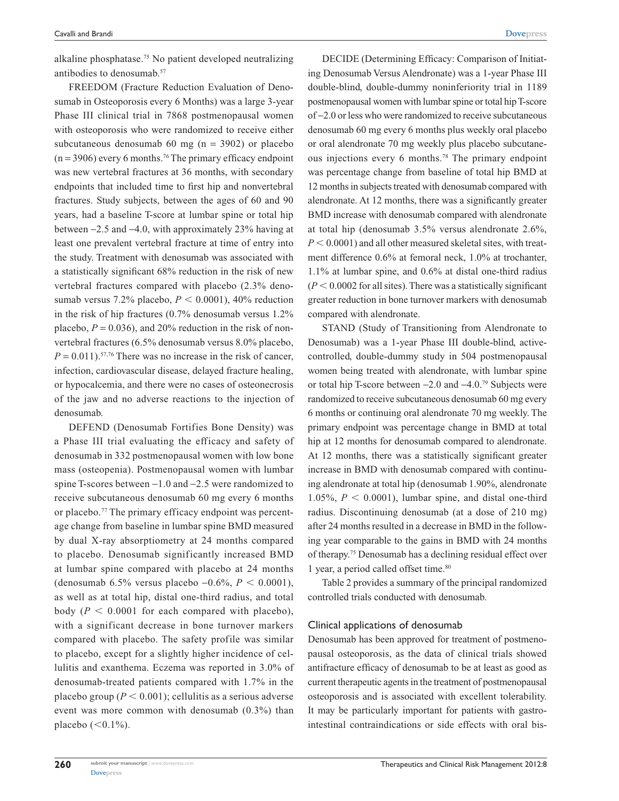alkaline phosphatase.75 No patient developed neutralizing antibodies to denosumab.<sup>57</sup>

FREEDOM (Fracture Reduction Evaluation of Denosumab in Osteoporosis every 6 Months) was a large 3-year Phase III clinical trial in 7868 postmenopausal women with osteoporosis who were randomized to receive either subcutaneous denosumab 60 mg ( $n = 3902$ ) or placebo  $(n = 3906)$  every 6 months.<sup>76</sup> The primary efficacy endpoint was new vertebral fractures at 36 months, with secondary endpoints that included time to first hip and nonvertebral fractures. Study subjects, between the ages of 60 and 90 years, had a baseline T-score at lumbar spine or total hip between −2.5 and −4.0, with approximately 23% having at least one prevalent vertebral fracture at time of entry into the study. Treatment with denosumab was associated with a statistically significant 68% reduction in the risk of new vertebral fractures compared with placebo (2.3% denosumab versus 7.2% placebo,  $P < 0.0001$ ), 40% reduction in the risk of hip fractures (0.7% denosumab versus 1.2% placebo,  $P = 0.036$ ), and 20% reduction in the risk of nonvertebral fractures (6.5% denosumab versus 8.0% placebo,  $P = 0.011$ ).<sup>57,76</sup> There was no increase in the risk of cancer, infection, cardiovascular disease, delayed fracture healing, or hypocalcemia, and there were no cases of osteonecrosis of the jaw and no adverse reactions to the injection of denosumab.

DEFEND (Denosumab Fortifies Bone Density) was a Phase III trial evaluating the efficacy and safety of denosumab in 332 postmenopausal women with low bone mass (osteopenia). Postmenopausal women with lumbar spine T-scores between −1.0 and −2.5 were randomized to receive subcutaneous denosumab 60 mg every 6 months or placebo.77 The primary efficacy endpoint was percentage change from baseline in lumbar spine BMD measured by dual X-ray absorptiometry at 24 months compared to placebo. Denosumab significantly increased BMD at lumbar spine compared with placebo at 24 months (denosumab 6.5% versus placebo −0.6%, *P* < 0.0001), as well as at total hip, distal one-third radius, and total body ( $P < 0.0001$  for each compared with placebo), with a significant decrease in bone turnover markers compared with placebo. The safety profile was similar to placebo, except for a slightly higher incidence of cellulitis and exanthema. Eczema was reported in 3.0% of denosumab-treated patients compared with 1.7% in the placebo group ( $P < 0.001$ ); cellulitis as a serious adverse event was more common with denosumab (0.3%) than placebo  $( $0.1\%$ ).$ 

DECIDE (Determining Efficacy: Comparison of Initiating Denosumab Versus Alendronate) was a 1-year Phase III double-blind, double-dummy noninferiority trial in 1189 postmenopausal women with lumbar spine or total hip T-score of −2.0 or less who were randomized to receive subcutaneous denosumab 60 mg every 6 months plus weekly oral placebo or oral alendronate 70 mg weekly plus placebo subcutaneous injections every 6 months.78 The primary endpoint was percentage change from baseline of total hip BMD at 12 months in subjects treated with denosumab compared with alendronate. At 12 months, there was a significantly greater BMD increase with denosumab compared with alendronate at total hip (denosumab 3.5% versus alendronate 2.6%,  $P < 0.0001$ ) and all other measured skeletal sites, with treatment difference 0.6% at femoral neck, 1.0% at trochanter, 1.1% at lumbar spine, and 0.6% at distal one-third radius  $(P < 0.0002$  for all sites). There was a statistically significant greater reduction in bone turnover markers with denosumab compared with alendronate.

STAND (Study of Transitioning from Alendronate to Denosumab) was a 1-year Phase III double-blind, activecontrolled, double-dummy study in 504 postmenopausal women being treated with alendronate, with lumbar spine or total hip T-score between −2.0 and −4.0.79 Subjects were randomized to receive subcutaneous denosumab 60 mg every 6 months or continuing oral alendronate 70 mg weekly. The primary endpoint was percentage change in BMD at total hip at 12 months for denosumab compared to alendronate. At 12 months, there was a statistically significant greater increase in BMD with denosumab compared with continuing alendronate at total hip (denosumab 1.90%, alendronate 1.05%,  $P < 0.0001$ ), lumbar spine, and distal one-third radius. Discontinuing denosumab (at a dose of 210 mg) after 24 months resulted in a decrease in BMD in the following year comparable to the gains in BMD with 24 months of therapy.75 Denosumab has a declining residual effect over 1 year, a period called offset time.80

Table 2 provides a summary of the principal randomized controlled trials conducted with denosumab.

#### Clinical applications of denosumab

Denosumab has been approved for treatment of postmenopausal osteoporosis, as the data of clinical trials showed antifracture efficacy of denosumab to be at least as good as current therapeutic agents in the treatment of postmenopausal osteoporosis and is associated with excellent tolerability. It may be particularly important for patients with gastrointestinal contraindications or side effects with oral bis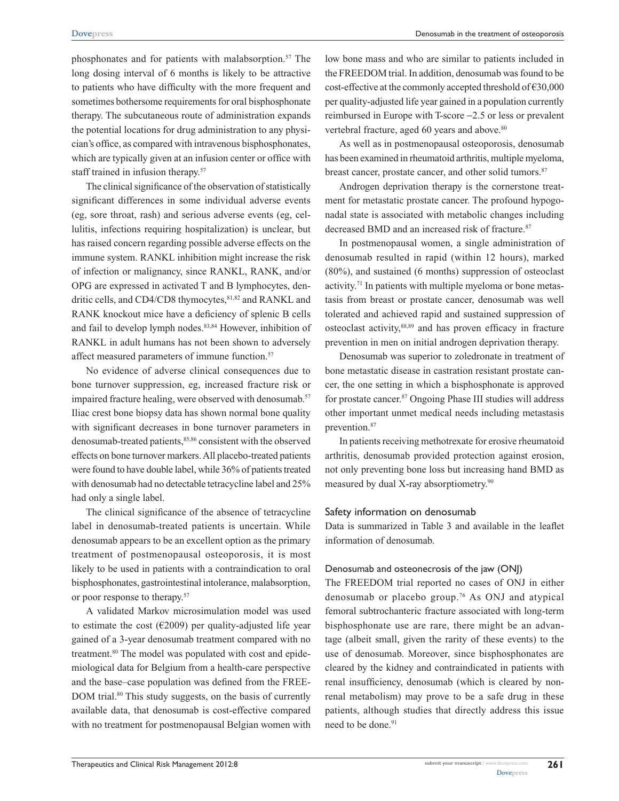phosphonates and for patients with malabsorption.57 The long dosing interval of 6 months is likely to be attractive to patients who have difficulty with the more frequent and sometimes bothersome requirements for oral bisphosphonate therapy. The subcutaneous route of administration expands the potential locations for drug administration to any physician's office, as compared with intravenous bisphosphonates, which are typically given at an infusion center or office with staff trained in infusion therapy.<sup>57</sup>

The clinical significance of the observation of statistically significant differences in some individual adverse events (eg, sore throat, rash) and serious adverse events (eg, cellulitis, infections requiring hospitalization) is unclear, but has raised concern regarding possible adverse effects on the immune system. RANKL inhibition might increase the risk of infection or malignancy, since RANKL, RANK, and/or OPG are expressed in activated T and B lymphocytes, dendritic cells, and CD4/CD8 thymocytes, 81,82 and RANKL and RANK knockout mice have a deficiency of splenic B cells and fail to develop lymph nodes.<sup>83,84</sup> However, inhibition of RANKL in adult humans has not been shown to adversely affect measured parameters of immune function.<sup>57</sup>

No evidence of adverse clinical consequences due to bone turnover suppression, eg, increased fracture risk or impaired fracture healing, were observed with denosumab.<sup>57</sup> Iliac crest bone biopsy data has shown normal bone quality with significant decreases in bone turnover parameters in denosumab-treated patients,<sup>85,86</sup> consistent with the observed effects on bone turnover markers. All placebo-treated patients were found to have double label, while 36% of patients treated with denosumab had no detectable tetracycline label and 25% had only a single label.

The clinical significance of the absence of tetracycline label in denosumab-treated patients is uncertain. While denosumab appears to be an excellent option as the primary treatment of postmenopausal osteoporosis, it is most likely to be used in patients with a contraindication to oral bisphosphonates, gastrointestinal intolerance, malabsorption, or poor response to therapy.57

A validated Markov microsimulation model was used to estimate the cost ( $E2009$ ) per quality-adjusted life year gained of a 3-year denosumab treatment compared with no treatment.<sup>80</sup> The model was populated with cost and epidemiological data for Belgium from a health-care perspective and the base–case population was defined from the FREE-DOM trial.<sup>80</sup> This study suggests, on the basis of currently available data, that denosumab is cost-effective compared with no treatment for postmenopausal Belgian women with low bone mass and who are similar to patients included in the FREEDOM trial. In addition, denosumab was found to be cost-effective at the commonly accepted threshold of  $E$ 30,000 per quality-adjusted life year gained in a population currently reimbursed in Europe with T-score −2.5 or less or prevalent vertebral fracture, aged 60 years and above.<sup>80</sup>

As well as in postmenopausal osteoporosis, denosumab has been examined in rheumatoid arthritis, multiple myeloma, breast cancer, prostate cancer, and other solid tumors.<sup>87</sup>

Androgen deprivation therapy is the cornerstone treatment for metastatic prostate cancer. The profound hypogonadal state is associated with metabolic changes including decreased BMD and an increased risk of fracture.<sup>87</sup>

In postmenopausal women, a single administration of denosumab resulted in rapid (within 12 hours), marked (80%), and sustained (6 months) suppression of osteoclast activity.71 In patients with multiple myeloma or bone metastasis from breast or prostate cancer, denosumab was well tolerated and achieved rapid and sustained suppression of osteoclast activity,88,89 and has proven efficacy in fracture prevention in men on initial androgen deprivation therapy.

Denosumab was superior to zoledronate in treatment of bone metastatic disease in castration resistant prostate cancer, the one setting in which a bisphosphonate is approved for prostate cancer.<sup>87</sup> Ongoing Phase III studies will address other important unmet medical needs including metastasis prevention.<sup>87</sup>

In patients receiving methotrexate for erosive rheumatoid arthritis, denosumab provided protection against erosion, not only preventing bone loss but increasing hand BMD as measured by dual X-ray absorptiometry.<sup>90</sup>

#### Safety information on denosumab

Data is summarized in Table 3 and available in the leaflet information of denosumab.

### Denosumab and osteonecrosis of the jaw (ONJ)

The FREEDOM trial reported no cases of ONJ in either denosumab or placebo group.76 As ONJ and atypical femoral subtrochanteric fracture associated with long-term bisphosphonate use are rare, there might be an advantage (albeit small, given the rarity of these events) to the use of denosumab. Moreover, since bisphosphonates are cleared by the kidney and contraindicated in patients with renal insufficiency, denosumab (which is cleared by nonrenal metabolism) may prove to be a safe drug in these patients, although studies that directly address this issue need to be done.<sup>91</sup>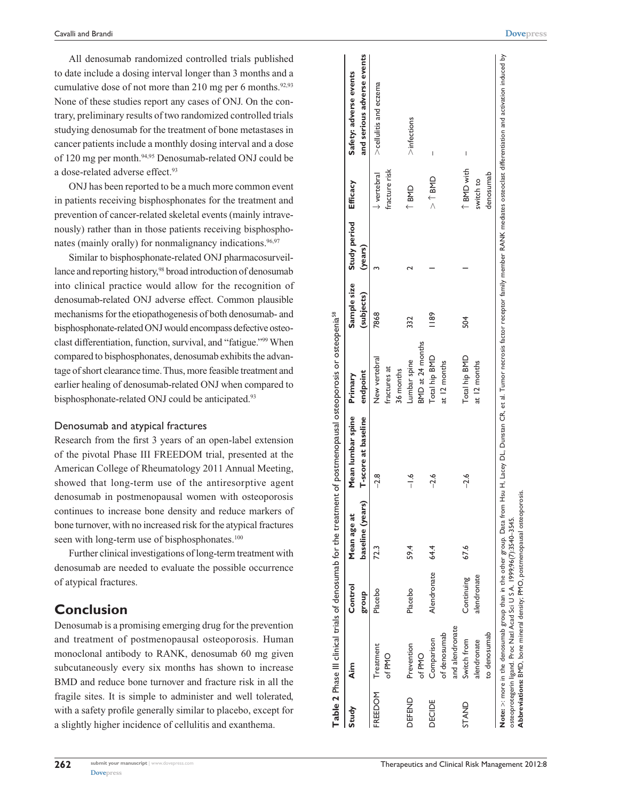All denosumab randomized controlled trials published to date include a dosing interval longer than 3 months and a cumulative dose of not more than 210 mg per 6 months.<sup>92,93</sup> None of these studies report any cases of ONJ. On the contrary, preliminary results of two randomized controlled trials studying denosumab for the treatment of bone metastases in cancer patients include a monthly dosing interval and a dose of 120 mg per month.94,95 Denosumab-related ONJ could be a dose-related adverse effect.<sup>93</sup>

ONJ has been reported to be a much more common event in patients receiving bisphosphonates for the treatment and prevention of cancer-related skeletal events (mainly intravenously) rather than in those patients receiving bisphosphonates (mainly orally) for nonmalignancy indications.<sup>96,97</sup>

Similar to bisphosphonate-related ONJ pharmacosurveillance and reporting history,<sup>98</sup> broad introduction of denosumab into clinical practice would allow for the recognition of denosumab-related ONJ adverse effect. Common plausible mechanisms for the etiopathogenesis of both denosumab- and bisphosphonate-related ONJ would encompass defective osteoclast differentiation, function, survival, and "fatigue."99 When compared to bisphosphonates, denosumab exhibits the advantage of short clearance time. Thus, more feasible treatment and earlier healing of denosumab-related ONJ when compared to bisphosphonate-related ONJ could be anticipated.<sup>93</sup>

## Denosumab and atypical fractures

Research from the first 3 years of an open-label extension of the pivotal Phase III FREEDOM trial, presented at the American College of Rheumatology 2011 Annual Meeting, showed that long-term use of the antiresorptive agent denosumab in postmenopausal women with osteoporosis continues to increase bone density and reduce markers of bone turnover, with no increased risk for the atypical fractures seen with long-term use of bisphosphonates.<sup>100</sup>

Further clinical investigations of long-term treatment with denosumab are needed to evaluate the possible occurrence of atypical fractures.

# **Conclusion**

Denosumab is a promising emerging drug for the prevention and treatment of postmenopausal osteoporosis. Human monoclonal antibody to RANK, denosumab 60 mg given subcutaneously every six months has shown to increase BMD and reduce bone turnover and fracture risk in all the fragile sites. It is simple to administer and well tolerated, with a safety profile generally similar to placebo, except for a slightly higher incidence of cellulitis and exanthema.

| 262 | submit your manuscript   www.dovepress.com |
|-----|--------------------------------------------|
|     | <b>Dove</b> press                          |

| Study          | Aim             | Control     | Mean age at      | Mean lumbar spine   | Primary          | Sample size    | Study period | Efficacy               | Safety: adverse events     |
|----------------|-----------------|-------------|------------------|---------------------|------------------|----------------|--------------|------------------------|----------------------------|
|                |                 | dno.18      | baseline (years) | T-score at baseline | endpoint         | (subjects)     | (years)      |                        | and serious adverse events |
| <b>FREEDOM</b> | Treatment       | Placebo     | 72.3             | $-2.8$              | New vertebral    | 7868           |              | $\downarrow$ vertebral | >cellulitis and eczema     |
|                | of PMO          |             |                  |                     | fractures at     |                |              | fracture risk          |                            |
|                |                 |             |                  |                     | 36 months        |                |              |                        |                            |
| DEFEND         | Prevention      | Placebo     | 59.4             | $\frac{6}{1}$       | Lumbar spine     | 332            |              | T BMD                  | $>$ infections             |
|                | of PMO          |             |                  |                     | BMD at 24 months |                |              |                        |                            |
| <b>DECIDE</b>  | Comparison      | Alendronate | 64.4             | $-2.6$              | Total hip BMD    | $\frac{89}{2}$ |              | $>$ 1 BMD              | I                          |
|                | of denosumab    |             |                  |                     | at 12 months     |                |              |                        |                            |
|                | and alendronate |             |                  |                     |                  |                |              |                        |                            |
| <b>STAND</b>   | Switch from     | Continuing  | 67.6             | $-2.6$              | Total hip BMD    | 504            |              | ↑ BMD with             | I                          |
|                | alendronate     | alendronate |                  |                     | at 12 months     |                |              | switch to              |                            |
|                | to denosumab    |             |                  |                     |                  |                |              | denosumab              |                            |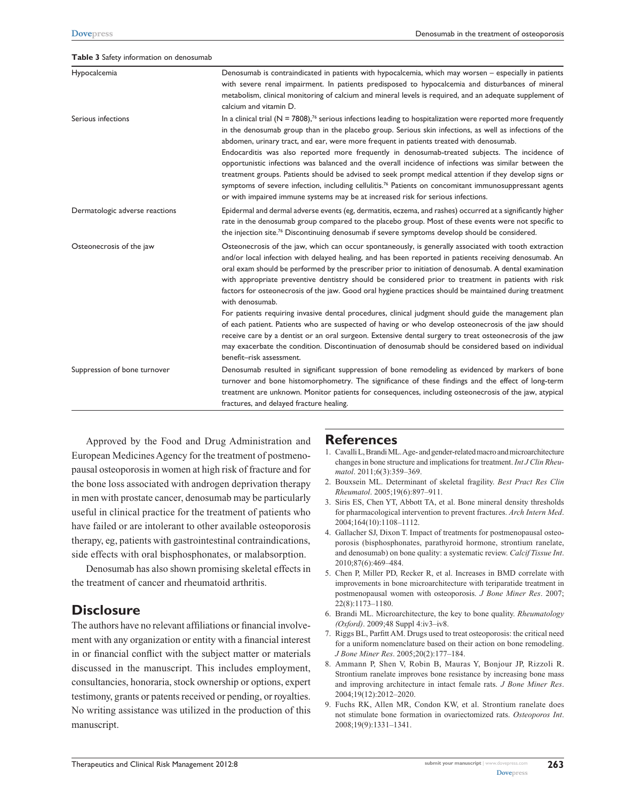#### **Table 3** Safety information on denosumab

| Hypocalcemia                   | Denosumab is contraindicated in patients with hypocalcemia, which may worsen – especially in patients<br>with severe renal impairment. In patients predisposed to hypocalcemia and disturbances of mineral<br>metabolism, clinical monitoring of calcium and mineral levels is required, and an adequate supplement of<br>calcium and vitamin D.                                                                                                                                                                                                                                                                                                                                                                                                                                                                                                                                             |
|--------------------------------|----------------------------------------------------------------------------------------------------------------------------------------------------------------------------------------------------------------------------------------------------------------------------------------------------------------------------------------------------------------------------------------------------------------------------------------------------------------------------------------------------------------------------------------------------------------------------------------------------------------------------------------------------------------------------------------------------------------------------------------------------------------------------------------------------------------------------------------------------------------------------------------------|
| Serious infections             | In a clinical trial ( $N = 7808$ ), <sup>76</sup> serious infections leading to hospitalization were reported more frequently<br>in the denosumab group than in the placebo group. Serious skin infections, as well as infections of the<br>abdomen, urinary tract, and ear, were more frequent in patients treated with denosumab.<br>Endocarditis was also reported more frequently in denosumab-treated subjects. The incidence of<br>opportunistic infections was balanced and the overall incidence of infections was similar between the<br>treatment groups. Patients should be advised to seek prompt medical attention if they develop signs or<br>symptoms of severe infection, including cellulitis. <sup>76</sup> Patients on concomitant immunosuppressant agents<br>or with impaired immune systems may be at increased risk for serious infections.                           |
| Dermatologic adverse reactions | Epidermal and dermal adverse events (eg, dermatitis, eczema, and rashes) occurred at a significantly higher<br>rate in the denosumab group compared to the placebo group. Most of these events were not specific to<br>the injection site. <sup>76</sup> Discontinuing denosumab if severe symptoms develop should be considered.                                                                                                                                                                                                                                                                                                                                                                                                                                                                                                                                                            |
| Osteonecrosis of the jaw       | Osteonecrosis of the jaw, which can occur spontaneously, is generally associated with tooth extraction<br>and/or local infection with delayed healing, and has been reported in patients receiving denosumab. An<br>oral exam should be performed by the prescriber prior to initiation of denosumab. A dental examination<br>with appropriate preventive dentistry should be considered prior to treatment in patients with risk<br>factors for osteonecrosis of the jaw. Good oral hygiene practices should be maintained during treatment<br>with denosumab.<br>For patients requiring invasive dental procedures, clinical judgment should guide the management plan<br>of each patient. Patients who are suspected of having or who develop osteonecrosis of the jaw should<br>receive care by a dentist or an oral surgeon. Extensive dental surgery to treat osteonecrosis of the jaw |
|                                | may exacerbate the condition. Discontinuation of denosumab should be considered based on individual<br>benefit-risk assessment.                                                                                                                                                                                                                                                                                                                                                                                                                                                                                                                                                                                                                                                                                                                                                              |
| Suppression of bone turnover   | Denosumab resulted in significant suppression of bone remodeling as evidenced by markers of bone<br>turnover and bone histomorphometry. The significance of these findings and the effect of long-term<br>treatment are unknown. Monitor patients for consequences, including osteonecrosis of the jaw, atypical<br>fractures, and delayed fracture healing.                                                                                                                                                                                                                                                                                                                                                                                                                                                                                                                                 |

Approved by the Food and Drug Administration and European Medicines Agency for the treatment of postmenopausal osteoporosis in women at high risk of fracture and for the bone loss associated with androgen deprivation therapy in men with prostate cancer, denosumab may be particularly useful in clinical practice for the treatment of patients who have failed or are intolerant to other available osteoporosis therapy, eg, patients with gastrointestinal contraindications, side effects with oral bisphosphonates, or malabsorption.

Denosumab has also shown promising skeletal effects in the treatment of cancer and rheumatoid arthritis.

# **Disclosure**

The authors have no relevant affiliations or financial involvement with any organization or entity with a financial interest in or financial conflict with the subject matter or materials discussed in the manuscript. This includes employment, consultancies, honoraria, stock ownership or options, expert testimony, grants or patents received or pending, or royalties. No writing assistance was utilized in the production of this manuscript.

## **References**

- 1. Cavalli L, Brandi ML. Age- and gender-related macro and microarchitecture changes in bone structure and implications for treatment. *Int J Clin Rheumatol*. 2011;6(3):359–369.
- 2. Bouxsein ML. Determinant of skeletal fragility. *Best Pract Res Clin Rheumatol*. 2005;19(6):897–911.
- 3. Siris ES, Chen YT, Abbott TA, et al. Bone mineral density thresholds for pharmacological intervention to prevent fractures. *Arch Intern Med*. 2004;164(10):1108–1112.
- 4. Gallacher SJ, Dixon T. Impact of treatments for postmenopausal osteoporosis (bisphosphonates, parathyroid hormone, strontium ranelate, and denosumab) on bone quality: a systematic review. *Calcif Tissue Int*. 2010;87(6):469–484.
- 5. Chen P, Miller PD, Recker R, et al. Increases in BMD correlate with improvements in bone microarchitecture with teriparatide treatment in postmenopausal women with osteoporosis. *J Bone Miner Res*. 2007; 22(8):1173–1180.
- 6. Brandi ML. Microarchitecture, the key to bone quality. *Rheumatology (Oxford)*. 2009;48 Suppl 4:iv3–iv8.
- 7. Riggs BL, Parfitt AM. Drugs used to treat osteoporosis: the critical need for a uniform nomenclature based on their action on bone remodeling. *J Bone Miner Res*. 2005;20(2):177–184.
- 8. Ammann P, Shen V, Robin B, Mauras Y, Bonjour JP, Rizzoli R. Strontium ranelate improves bone resistance by increasing bone mass and improving architecture in intact female rats. *J Bone Miner Res*. 2004;19(12):2012–2020.
- 9. Fuchs RK, Allen MR, Condon KW, et al. Strontium ranelate does not stimulate bone formation in ovariectomized rats. *Osteoporos Int*. 2008;19(9):1331–1341.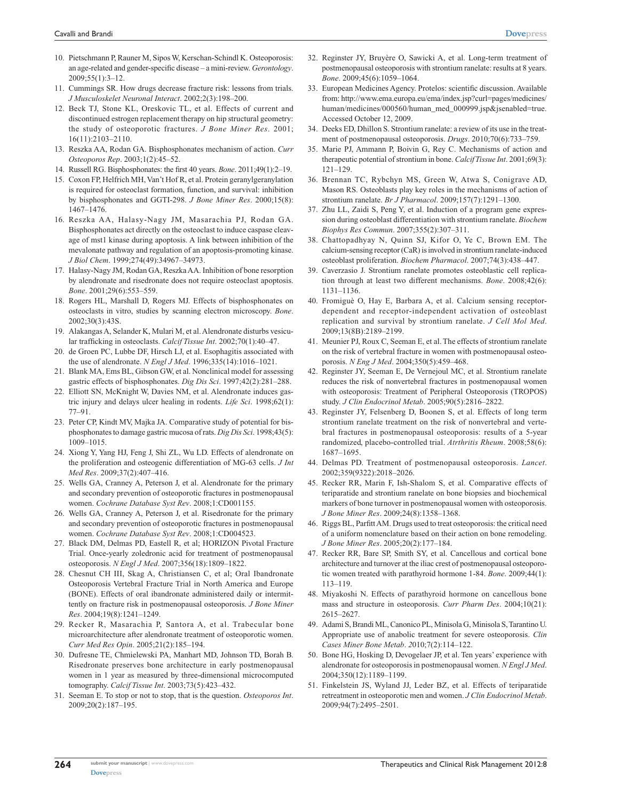- 10. Pietschmann P, Rauner M, Sipos W, Kerschan-Schindl K. Osteoporosis: an age-related and gender-specific disease – a mini-review. *Gerontology*.  $2009.55(1)$ : 3–12.
- 11. Cummings SR. How drugs decrease fracture risk: lessons from trials. *J Musculoskelet Neuronal Interact*. 2002;2(3):198–200.
- 12. Beck TJ, Stone KL, Oreskovic TL, et al. Effects of current and discontinued estrogen replacement therapy on hip structural geometry: the study of osteoporotic fractures. *J Bone Miner Res*. 2001; 16(11):2103–2110.
- 13. Reszka AA, Rodan GA. Bisphosphonates mechanism of action. *Curr Osteoporos Rep*. 2003;1(2):45–52.
- 14. Russell RG. Bisphosphonates: the first 40 years. *Bone*. 2011;49(1):2–19.
- 15. Coxon FP, Helfrich MH, Van't Hof R, et al. Protein geranylgeranylation is required for osteoclast formation, function, and survival: inhibition by bisphosphonates and GGTI-298. *J Bone Miner Res*. 2000;15(8): 1467–1476.
- 16. Reszka AA, Halasy-Nagy JM, Masarachia PJ, Rodan GA. Bisphosphonates act directly on the osteoclast to induce caspase cleavage of mst1 kinase during apoptosis. A link between inhibition of the mevalonate pathway and regulation of an apoptosis-promoting kinase. *J Biol Chem*. 1999;274(49):34967–34973.
- 17. Halasy-Nagy JM, Rodan GA, Reszka AA. Inhibition of bone resorption by alendronate and risedronate does not require osteoclast apoptosis. *Bone*. 2001;29(6):553–559.
- 18. Rogers HL, Marshall D, Rogers MJ. Effects of bisphosphonates on osteoclasts in vitro, studies by scanning electron microscopy. *Bone*. 2002;30(3):43S.
- 19. Alakangas A, Selander K, Mulari M, et al. Alendronate disturbs vesicular trafficking in osteoclasts. *Calcif Tissue Int*. 2002;70(1):40–47.
- 20. de Groen PC, Lubbe DF, Hirsch LJ, et al. Esophagitis associated with the use of alendronate. *N Engl J Med*. 1996;335(14):1016–1021.
- 21. Blank MA, Ems BL, Gibson GW, et al. Nonclinical model for assessing gastric effects of bisphosphonates. *Dig Dis Sci*. 1997;42(2):281–288.
- 22. Elliott SN, McKnight W, Davies NM, et al. Alendronate induces gastric injury and delays ulcer healing in rodents. *Life Sci*. 1998;62(1): 77–91.
- 23. Peter CP, Kindt MV, Majka JA. Comparative study of potential for bisphosphonates to damage gastric mucosa of rats. *Dig Dis Sci*. 1998;43(5): 1009–1015.
- 24. Xiong Y, Yang HJ, Feng J, Shi ZL, Wu LD. Effects of alendronate on the proliferation and osteogenic differentiation of MG-63 cells. *J Int Med Res*. 2009;37(2):407–416.
- 25. Wells GA, Cranney A, Peterson J, et al. Alendronate for the primary and secondary prevention of osteoporotic fractures in postmenopausal women. *Cochrane Database Syst Rev*. 2008;1:CD001155.
- 26. Wells GA, Cranney A, Peterson J, et al. Risedronate for the primary and secondary prevention of osteoporotic fractures in postmenopausal women. *Cochrane Database Syst Rev*. 2008;1:CD004523.
- 27. Black DM, Delmas PD, Eastell R, et al; HORIZON Pivotal Fracture Trial. Once-yearly zoledronic acid for treatment of postmenopausal osteoporosis. *N Engl J Med*. 2007;356(18):1809–1822.
- 28. Chesnut CH III, Skag A, Christiansen C, et al; Oral Ibandronate Osteoporosis Vertebral Fracture Trial in North America and Europe (BONE). Effects of oral ibandronate administered daily or intermittently on fracture risk in postmenopausal osteoporosis. *J Bone Miner Res*. 2004;19(8):1241–1249.
- 29. Recker R, Masarachia P, Santora A, et al. Trabecular bone microarchitecture after alendronate treatment of osteoporotic women. *Curr Med Res Opin*. 2005;21(2):185–194.
- 30. Dufresne TE, Chmielewski PA, Manhart MD, Johnson TD, Borah B. Risedronate preserves bone architecture in early postmenopausal women in 1 year as measured by three-dimensional microcomputed tomography. *Calcif Tissue Int*. 2003;73(5):423–432.
- 31. Seeman E. To stop or not to stop, that is the question. *Osteoporos Int*. 2009;20(2):187–195.
- 32. Reginster JY, Bruyère O, Sawicki A, et al. Long-term treatment of postmenopausal osteoporosis with strontium ranelate: results at 8 years. *Bone*. 2009;45(6):1059–1064.
- 33. European Medicines Agency. Protelos: scientific discussion. Available from: http://www.ema.europa.eu/ema/index.jsp?curl=pages/medicines/ human/medicines/000560/human\_med\_000999.jsp&jsenabled=true. Accessed October 12, 2009.
- 34. Deeks ED, Dhillon S. Strontium ranelate: a review of its use in the treatment of postmenopausal osteoporosis. *Drugs*. 2010;70(6):733–759.
- 35. Marie PJ, Ammann P, Boivin G, Rey C. Mechanisms of action and therapeutic potential of strontium in bone. *Calcif Tissue Int*. 2001;69(3): 121–129.
- 36. Brennan TC, Rybchyn MS, Green W, Atwa S, Conigrave AD, Mason RS. Osteoblasts play key roles in the mechanisms of action of strontium ranelate. *Br J Pharmacol*. 2009;157(7):1291–1300.
- 37. Zhu LL, Zaidi S, Peng Y, et al. Induction of a program gene expression during osteoblast differentiation with strontium ranelate. *Biochem Biophys Res Commun*. 2007;355(2):307–311.
- 38. Chattopadhyay N, Quinn SJ, Kifor O, Ye C, Brown EM. The calcium-sensing receptor (CaR) is involved in strontium ranelate-induced osteoblast proliferation. *Biochem Pharmacol*. 2007;74(3):438–447.
- 39. Caverzasio J. Strontium ranelate promotes osteoblastic cell replication through at least two different mechanisms. *Bone*. 2008;42(6): 1131–1136.
- 40. Fromiguè O, Hay E, Barbara A, et al. Calcium sensing receptordependent and receptor-independent activation of osteoblast replication and survival by strontium ranelate. *J Cell Mol Med*. 2009;13(8B):2189–2199.
- 41. Meunier PJ, Roux C, Seeman E, et al. The effects of strontium ranelate on the risk of vertebral fracture in women with postmenopausal osteoporosis. *N Eng J Med*. 2004;350(5):459–468.
- 42. Reginster JY, Seeman E, De Vernejoul MC, et al. Strontium ranelate reduces the risk of nonvertebral fractures in postmenopausal women with osteoporosis: Treatment of Peripheral Osteoporosis (TROPOS) study. *J Clin Endocrinol Metab*. 2005;90(5):2816–2822.
- 43. Reginster JY, Felsenberg D, Boonen S, et al. Effects of long term strontium ranelate treatment on the risk of nonvertebral and vertebral fractures in postmenopausal osteoporosis: results of a 5-year randomized, placebo-controlled trial. *Atrthritis Rheum*. 2008;58(6): 1687–1695.
- 44. Delmas PD. Treatment of postmenopausal osteoporosis. *Lancet*. 2002;359(9322):2018–2026.
- 45. Recker RR, Marin F, Ish-Shalom S, et al. Comparative effects of teriparatide and strontium ranelate on bone biopsies and biochemical markers of bone turnover in postmenopausal women with osteoporosis. *J Bone Miner Res*. 2009;24(8):1358–1368.
- 46. Riggs BL, Parfitt AM. Drugs used to treat osteoporosis: the critical need of a uniform nomenclature based on their action on bone remodeling. *J Bone Miner Res*. 2005;20(2):177–184.
- 47. Recker RR, Bare SP, Smith SY, et al. Cancellous and cortical bone architecture and turnover at the iliac crest of postmenopausal osteoporotic women treated with parathyroid hormone 1-84. *Bone*. 2009;44(1): 113–119.
- 48. Miyakoshi N. Effects of parathyroid hormone on cancellous bone mass and structure in osteoporosis. *Curr Pharm Des*. 2004;10(21): 2615–2627.
- 49. Adami S, Brandi ML, Canonico PL, Minisola G, Minisola S, Tarantino U. Appropriate use of anabolic treatment for severe osteoporosis. *Clin Cases Miner Bone Metab*. *2*010;7(2):114–122.
- 50. Bone HG, Hosking D, Devogelaer JP, et al. Ten years' experience with alendronate for osteoporosis in postmenopausal women. *N Engl J Med*. 2004;350(12):1189–1199.
- 51. Finkelstein JS, Wyland JJ, Leder BZ, et al. Effects of teriparatide retreatment in osteoporotic men and women. *J Clin Endocrinol Metab*. 2009;94(7):2495–2501.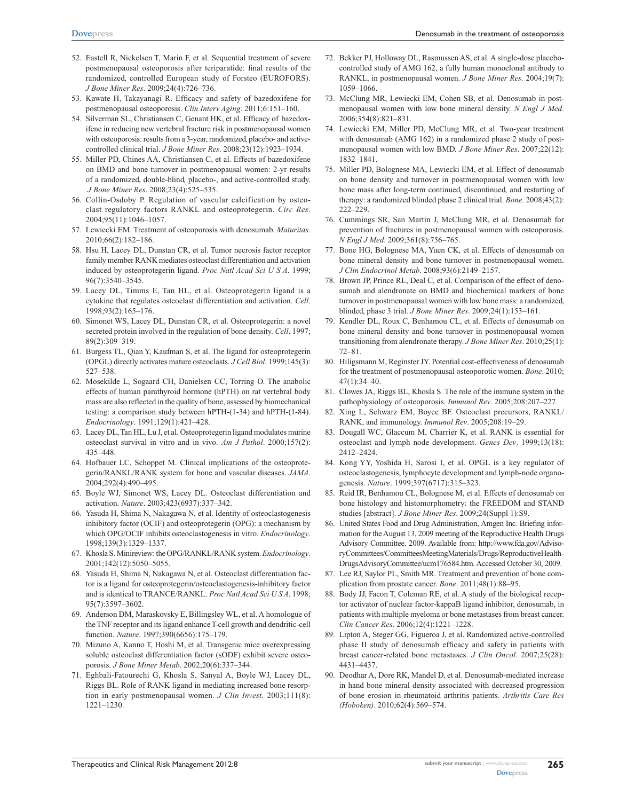- 52. Eastell R, Nickelsen T, Marin F, et al. Sequential treatment of severe postmenopausal osteoporosis after teriparatide: final results of the randomized, controlled European study of Forsteo (EUROFORS). *J Bone Miner Res*. 2009;24(4):726–736.
- 53. Kawate H, Takayanagi R. Efficacy and safety of bazedoxifene for postmenopausal osteoporosis. *Clin Interv Aging*. 2011;6:151–160.
- 54. Silverman SL, Christiansen C, Genant HK, et al. Efficacy of bazedoxifene in reducing new vertebral fracture risk in postmenopausal women with osteoporosis: results from a 3-year, randomized, placebo- and activecontrolled clinical trial. *J Bone Miner Res*. 2008;23(12):1923–1934.
- 55. Miller PD, Chines AA, Christiansen C, et al. Effects of bazedoxifene on BMD and bone turnover in postmenopausal women: 2-yr results of a randomized, double-blind, placebo-, and active-controlled study. *J Bone Miner Res*. 2008;23(4):525–535.
- 56. Collin-Osdoby P. Regulation of vascular calcification by osteoclast regulatory factors RANKL and osteoprotegerin. *Circ Res*. 2004;95(11):1046–1057.
- 57. Lewiecki EM. Treatment of osteoporosis with denosumab. *Maturitas*. 2010;66(2):182–186.
- 58. Hsu H, Lacey DL, Dunstan CR, et al. Tumor necrosis factor receptor family member RANK mediates osteoclast differentiation and activation induced by osteoprotegerin ligand. *Proc Natl Acad Sci U S A*. 1999; 96(7):3540–3545.
- 59. Lacey DL, Timms E, Tan HL, et al. Osteoprotegerin ligand is a cytokine that regulates osteoclast differentiation and activation. *Cell*. 1998;93(2):165–176.
- 60. Simonet WS, Lacey DL, Dunstan CR, et al. Osteoprotegerin: a novel secreted protein involved in the regulation of bone density. *Cell*. 1997; 89(2):309–319.
- 61. Burgess TL, Qian Y, Kaufman S, et al. The ligand for osteoprotegerin (OPGL) directly activates mature osteoclasts. *J Cell Biol*. 1999;145(3): 527–538.
- 62. Mosekilde L, Sogaard CH, Danielsen CC, Torring O. The anabolic effects of human parathyroid hormone (hPTH) on rat vertebral body mass are also reflected in the quality of bone, assessed by biomechanical testing: a comparison study between hPTH-(1-34) and hPTH-(1-84). *Endocrinology*. 1991;129(1):421–428.
- 63. Lacey DL, Tan HL, Lu J, et al. Osteoprotegerin ligand modulates murine osteoclast survival in vitro and in vivo. *Am J Pathol*. 2000;157(2): 435–448.
- 64. Hofbauer LC, Schoppet M. Clinical implications of the osteoprotegerin/RANKL/RANK system for bone and vascular diseases. *JAMA*. 2004;292(4):490–495.
- 65. Boyle WJ, Simonet WS, Lacey DL. Osteoclast differentiation and activation. *Nature*. 2003;423(6937):337–342.
- 66. Yasuda H, Shima N, Nakagawa N, et al. Identity of osteoclastogenesis inhibitory factor (OCIF) and osteoprotegerin (OPG): a mechanism by which OPG/OCIF inhibits osteoclastogenesis in vitro. *Endocrinology*. 1998;139(3):1329–1337.
- 67. Khosla S. Minireview: the OPG/RANKL/RANK system. *Endocrinology*. 2001;142(12):5050–5055.
- 68. Yasuda H, Shima N, Nakagawa N, et al. Osteoclast differentiation factor is a ligand for osteoprotegerin/osteoclastogenesis-inhibitory factor and is identical to TRANCE/RANKL. *Proc Natl Acad Sci U S A*. 1998; 95(7):3597–3602.
- 69. Anderson DM, Maraskovsky E, Billingsley WL, et al. A homologue of the TNF receptor and its ligand enhance T-cell growth and dendritic-cell function. *Nature*. 1997;390(6656):175–179.
- 70. Mizuno A, Kanno T, Hoshi M, et al. Transgenic mice overexpressing soluble osteoclast differentiation factor (sODF) exhibit severe osteoporosis. *J Bone Miner Metab*. 2002;20(6):337–344.
- 71. Eghbali-Fatourechi G, Khosla S, Sanyal A, Boyle WJ, Lacey DL, Riggs BL. Role of RANK ligand in mediating increased bone resorption in early postmenopausal women. *J Clin Invest*. 2003;111(8): 1221–1230.
- 72. Bekker PJ, Holloway DL, Rasmussen AS, et al. A single-dose placebocontrolled study of AMG 162, a fully human monoclonal antibody to RANKL, in postmenopausal women. *J Bone Miner Res*. 2004;19(7): 1059–1066.
- 73. McClung MR, Lewiecki EM, Cohen SB, et al. Denosumab in postmenopausal women with low bone mineral density. *N Engl J Med*. 2006;354(8):821–831.
- 74. Lewiecki EM, Miller PD, McClung MR, et al. Two-year treatment with denosumab (AMG 162) in a randomized phase 2 study of postmenopausal women with low BMD. *J Bone Miner Res*. 2007;22(12): 1832–1841.
- 75. Miller PD, Bolognese MA, Lewiecki EM, et al. Effect of denosumab on bone density and turnover in postmenopausal women with low bone mass after long-term continued, discontinued, and restarting of therapy: a randomized blinded phase 2 clinical trial. *Bone*. 2008;43(2): 222–229.
- 76. Cummings SR, San Martin J, McClung MR, et al. Denosumab for prevention of fractures in postmenopausal women with osteoporosis. *N Engl J Med*. 2009;361(8):756–765.
- 77. Bone HG, Bolognese MA, Yuen CK, et al. Effects of denosumab on bone mineral density and bone turnover in postmenopausal women. *J Clin Endocrinol Metab*. 2008;93(6):2149–2157.
- 78. Brown JP, Prince RL, Deal C, et al. Comparison of the effect of denosumab and alendronate on BMD and biochemical markers of bone turnover in postmenopausal women with low bone mass: a randomized, blinded, phase 3 trial. *J Bone Miner Res*. 2009;24(1):153–161.
- 79. Kendler DL, Roux C, Benhamou CL, et al. Effects of denosumab on bone mineral density and bone turnover in postmenopausal women transitioning from alendronate therapy. *J Bone Miner Res*. 2010;25(1): 72–81.
- 80. Hiligsmann M, Reginster JY. Potential cost-effectiveness of denosumab for the treatment of postmenopausal osteoporotic women. *Bone*. 2010; 47(1):34–40.
- 81. Clowes JA, Riggs BL, Khosla S. The role of the immune system in the pathophysiology of osteoporosis. *Immunol Rev*. 2005;208:207–227.
- 82. Xing L, Schwarz EM, Boyce BF. Osteoclast precursors, RANKL/ RANK, and immunology. *Immunol Rev*. 2005;208:19–29.
- 83. Dougall WC, Glaccum M, Charrier K, et al. RANK is essential for osteoclast and lymph node development. *Genes Dev*. 1999;13(18): 2412–2424.
- 84. Kong YY, Yoshida H, Sarosi I, et al. OPGL is a key regulator of osteoclastogenesis, lymphocyte development and lymph-node organogenesis. *Nature*. 1999;397(6717):315–323.
- 85. Reid IR, Benhamou CL, Bolognese M, et al. Effects of denosumab on bone histology and histomorphometry: the FREEDOM and STAND studies [abstract]. *J Bone Miner Res*. 2009;24(Suppl 1):S9.
- 86. United States Food and Drug Administration, Amgen Inc. Briefing information for the August 13, 2009 meeting of the Reproductive Health Drugs Advisory Committee. 2009. Available from: [http://www.fda.gov/Adviso](http://www.fda.gov/AdvisoryCommittees/CommitteesMeetingMaterials/Drugs/ReproductiveHealthDrugsAdvisoryCommittee/ucm176584.htm)[ryCommittees/CommitteesMeetingMaterials/Drugs/ReproductiveHealth-](http://www.fda.gov/AdvisoryCommittees/CommitteesMeetingMaterials/Drugs/ReproductiveHealthDrugsAdvisoryCommittee/ucm176584.htm)[DrugsAdvisoryCommittee/ucm176584.htm](http://www.fda.gov/AdvisoryCommittees/CommitteesMeetingMaterials/Drugs/ReproductiveHealthDrugsAdvisoryCommittee/ucm176584.htm). Accessed October 30, 2009.
- 87. Lee RJ, Saylor PL, Smith MR. Treatment and prevention of bone complication from prostate cancer. *Bone*. 2011;48(1):88–95.
- 88. Body JJ, Facon T, Coleman RE, et al. A study of the biological receptor activator of nuclear factor-kappaB ligand inhibitor, denosumab, in patients with multiple myeloma or bone metastases from breast cancer. *Clin Cancer Res*. 2006;12(4):1221–1228.
- 89. Lipton A, Steger GG, Figueroa J, et al. Randomized active-controlled phase II study of denosumab efficacy and safety in patients with breast cancer-related bone metastases. *J Clin Oncol*. 2007;25(28): 4431–4437.
- 90. Deodhar A, Dore RK, Mandel D, et al. Denosumab-mediated increase in hand bone mineral density associated with decreased progression of bone erosion in rheumatoid arthritis patients. *Arthritis Care Res (Hoboken)*. 2010;62(4):569–574.